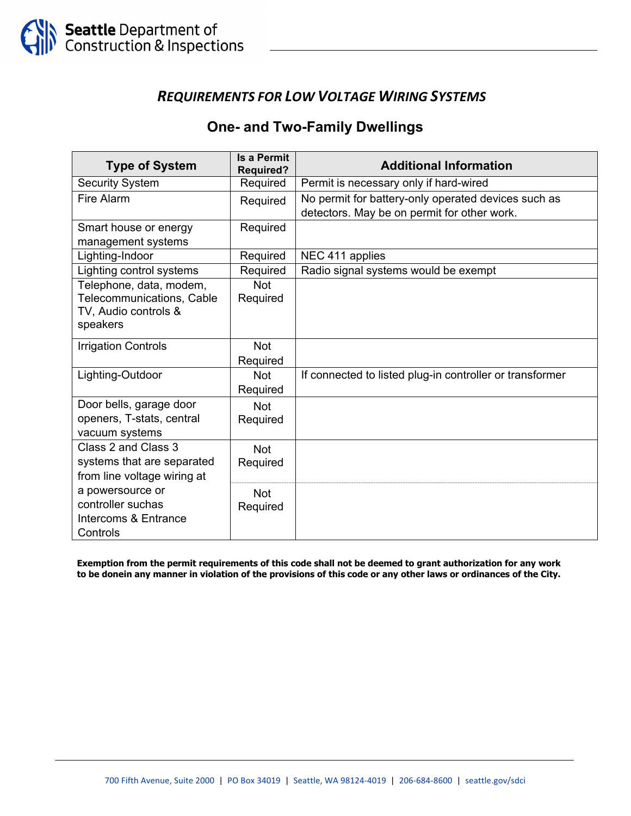### *REQUIREMENTS FOR LOW VOLTAGE WIRING SYSTEMS*

### **One- and Two-Family Dwellings**

| <b>Type of System</b>                                                                           | <b>Is a Permit</b><br><b>Required?</b> | <b>Additional Information</b>                                                                      |
|-------------------------------------------------------------------------------------------------|----------------------------------------|----------------------------------------------------------------------------------------------------|
| <b>Security System</b>                                                                          | Required                               | Permit is necessary only if hard-wired                                                             |
| Fire Alarm                                                                                      | Required                               | No permit for battery-only operated devices such as<br>detectors. May be on permit for other work. |
| Smart house or energy<br>management systems                                                     | Required                               |                                                                                                    |
| Lighting-Indoor                                                                                 | Required                               | NEC 411 applies                                                                                    |
| Lighting control systems                                                                        | Required                               | Radio signal systems would be exempt                                                               |
| Telephone, data, modem,<br><b>Telecommunications, Cable</b><br>TV, Audio controls &<br>speakers | <b>Not</b><br>Required                 |                                                                                                    |
| <b>Irrigation Controls</b>                                                                      | <b>Not</b><br>Required                 |                                                                                                    |
| Lighting-Outdoor                                                                                | <b>Not</b><br>Required                 | If connected to listed plug-in controller or transformer                                           |
| Door bells, garage door<br>openers, T-stats, central<br>vacuum systems                          | <b>Not</b><br>Required                 |                                                                                                    |
| Class 2 and Class 3<br>systems that are separated<br>from line voltage wiring at                | <b>Not</b><br>Required                 |                                                                                                    |
| a powersource or<br>controller suchas<br>Intercoms & Entrance<br>Controls                       | <b>Not</b><br>Required                 |                                                                                                    |

**Exemption from the permit requirements of this code shall not be deemed to grant authorization for any work**  to be donein any manner in violation of the provisions of this code or any other laws or ordinances of the City.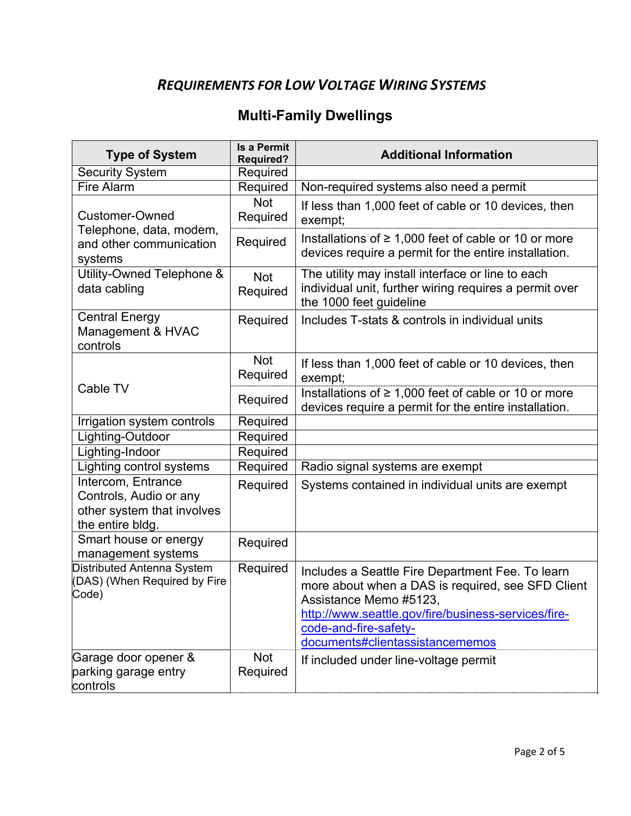## *REQUIREMENTS FOR LOW VOLTAGE WIRING SYSTEMS*

# **Multi-Family Dwellings**

| <b>Type of System</b>                                                                          | <b>Is a Permit</b><br><b>Required?</b> | <b>Additional Information</b>                                                                                                                                                                                                                      |
|------------------------------------------------------------------------------------------------|----------------------------------------|----------------------------------------------------------------------------------------------------------------------------------------------------------------------------------------------------------------------------------------------------|
| <b>Security System</b>                                                                         | Required                               |                                                                                                                                                                                                                                                    |
| <b>Fire Alarm</b>                                                                              | Required                               | Non-required systems also need a permit                                                                                                                                                                                                            |
| Customer-Owned                                                                                 | <b>Not</b><br>Required                 | If less than 1,000 feet of cable or 10 devices, then<br>exempt;                                                                                                                                                                                    |
| Telephone, data, modem,<br>and other communication<br>systems                                  | Required                               | Installations of $\geq 1,000$ feet of cable or 10 or more<br>devices require a permit for the entire installation.                                                                                                                                 |
| Utility-Owned Telephone &<br>data cabling                                                      | <b>Not</b><br>Required                 | The utility may install interface or line to each<br>individual unit, further wiring requires a permit over<br>the 1000 feet guideline                                                                                                             |
| <b>Central Energy</b><br>Management & HVAC<br>controls                                         | Required                               | Includes T-stats & controls in individual units                                                                                                                                                                                                    |
| Cable TV                                                                                       | <b>Not</b><br>Required                 | If less than 1,000 feet of cable or 10 devices, then<br>exempt;                                                                                                                                                                                    |
|                                                                                                | Required                               | Installations of $\geq 1,000$ feet of cable or 10 or more<br>devices require a permit for the entire installation.                                                                                                                                 |
| Irrigation system controls                                                                     | Required                               |                                                                                                                                                                                                                                                    |
| Lighting-Outdoor                                                                               | Required                               |                                                                                                                                                                                                                                                    |
| Lighting-Indoor                                                                                | Required                               |                                                                                                                                                                                                                                                    |
| Lighting control systems                                                                       | Required                               | Radio signal systems are exempt                                                                                                                                                                                                                    |
| Intercom, Entrance<br>Controls, Audio or any<br>other system that involves<br>the entire bldg. | Required                               | Systems contained in individual units are exempt                                                                                                                                                                                                   |
| Smart house or energy<br>management systems                                                    | Required                               |                                                                                                                                                                                                                                                    |
| Distributed Antenna System<br>(DAS) (When Required by Fire<br>Code)                            | Required                               | Includes a Seattle Fire Department Fee. To learn<br>more about when a DAS is required, see SFD Client<br>Assistance Memo #5123.<br>http://www.seattle.gov/fire/business-services/fire-<br>code-and-fire-safety-<br>documents#clientassistancememos |
| Garage door opener &<br>parking garage entry<br>controls                                       | <b>Not</b><br>Required                 | If included under line-voltage permit                                                                                                                                                                                                              |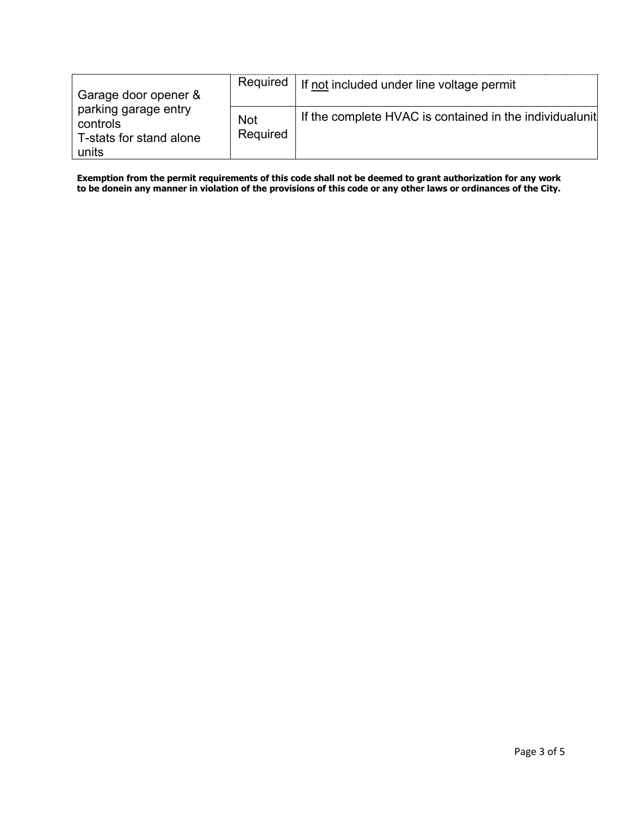| Garage door opener &                                                 | Required               | If not included under line voltage permit                |
|----------------------------------------------------------------------|------------------------|----------------------------------------------------------|
| parking garage entry<br>controls<br>T-stats for stand alone<br>units | <b>Not</b><br>Required | If the complete HVAC is contained in the individual unit |

**Exemption from the permit requirements of this code shall not be deemed to grant authorization for any work**  to be donein any manner in violation of the provisions of this code or any other laws or ordinances of the City.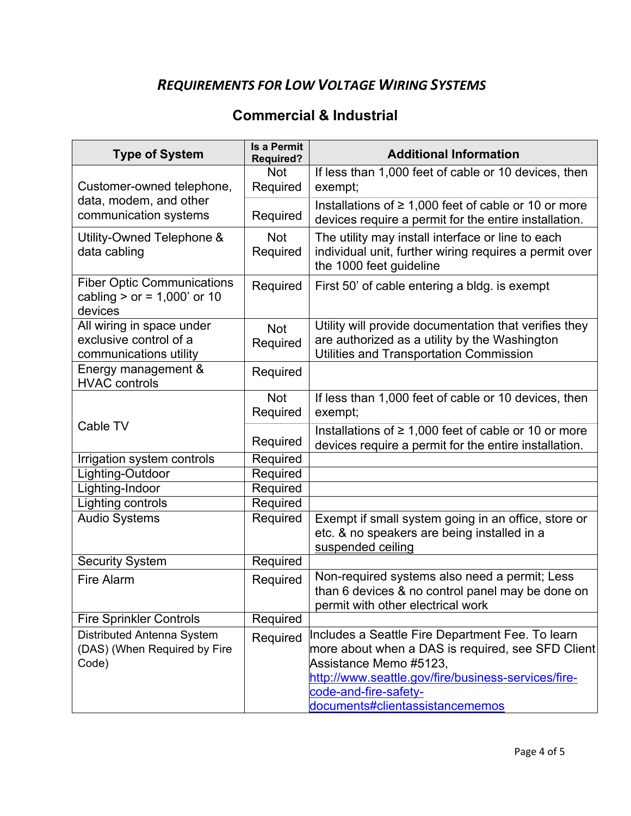## *REQUIREMENTS FOR LOW VOLTAGE WIRING SYSTEMS*

### **Commercial & Industrial**

| <b>Type of System</b>                                                         | <b>Is a Permit</b><br><b>Required?</b> | <b>Additional Information</b>                                                                                                                                                                                                                      |
|-------------------------------------------------------------------------------|----------------------------------------|----------------------------------------------------------------------------------------------------------------------------------------------------------------------------------------------------------------------------------------------------|
|                                                                               | <b>Not</b>                             | If less than 1,000 feet of cable or 10 devices, then                                                                                                                                                                                               |
| Customer-owned telephone,                                                     | Required                               | exempt;                                                                                                                                                                                                                                            |
| data, modem, and other<br>communication systems                               | Required                               | Installations of $\geq 1,000$ feet of cable or 10 or more<br>devices require a permit for the entire installation.                                                                                                                                 |
| Utility-Owned Telephone &<br>data cabling                                     | <b>Not</b><br>Required                 | The utility may install interface or line to each<br>individual unit, further wiring requires a permit over<br>the 1000 feet guideline                                                                                                             |
| <b>Fiber Optic Communications</b><br>cabling $>$ or = 1,000' or 10<br>devices | Required                               | First 50' of cable entering a bldg. is exempt                                                                                                                                                                                                      |
| All wiring in space under                                                     | <b>Not</b>                             | Utility will provide documentation that verifies they                                                                                                                                                                                              |
| exclusive control of a                                                        | Required                               | are authorized as a utility by the Washington                                                                                                                                                                                                      |
| communications utility                                                        |                                        | <b>Utilities and Transportation Commission</b>                                                                                                                                                                                                     |
| Energy management &<br><b>HVAC controls</b>                                   | Required                               |                                                                                                                                                                                                                                                    |
|                                                                               | <b>Not</b>                             | If less than 1,000 feet of cable or 10 devices, then                                                                                                                                                                                               |
|                                                                               | Required                               | exempt;                                                                                                                                                                                                                                            |
| Cable TV                                                                      | Required                               | Installations of $\geq 1,000$ feet of cable or 10 or more<br>devices require a permit for the entire installation.                                                                                                                                 |
| Irrigation system controls                                                    | Required                               |                                                                                                                                                                                                                                                    |
| Lighting-Outdoor                                                              | Required                               |                                                                                                                                                                                                                                                    |
| Lighting-Indoor                                                               | Required                               |                                                                                                                                                                                                                                                    |
| Lighting controls                                                             | Required                               |                                                                                                                                                                                                                                                    |
| <b>Audio Systems</b>                                                          | Required                               | Exempt if small system going in an office, store or<br>etc. & no speakers are being installed in a<br>suspended ceiling                                                                                                                            |
| Security System                                                               | Required                               |                                                                                                                                                                                                                                                    |
| <b>Fire Alarm</b>                                                             | Required                               | Non-required systems also need a permit; Less<br>than 6 devices & no control panel may be done on<br>permit with other electrical work                                                                                                             |
| <b>Fire Sprinkler Controls</b>                                                | Required                               |                                                                                                                                                                                                                                                    |
| Distributed Antenna System<br>(DAS) (When Required by Fire<br>Code)           | Required                               | Includes a Seattle Fire Department Fee. To learn<br>more about when a DAS is required, see SFD Client<br>Assistance Memo #5123,<br>http://www.seattle.gov/fire/business-services/fire-<br>code-and-fire-safety-<br>documents#clientassistancememos |